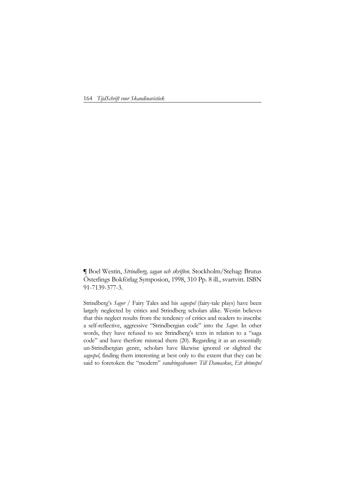164 *TijdSchrift voor Skandinavistiek*

**¶** Boel Westin, *Strindberg, sagan och skriften*. Stockholm/Stehag: Brutus Österlings Bokförlag Symposion, 1998, 310 Pp. 8 ill., svartvitt. ISBN 91-7139-377-3.

Strindberg's *Sagor* / Fairy Tales and his *sagospel* (fairy-tale plays) have been largely neglected by critics and Strindberg scholars alike. Westin believes that this neglect results from the tendency of critics and readers to inscribe a self-reflective, aggressive "Strindbergian code" into the *Sagor*. In other words, they have refused to see Strindberg's texts in relation to a "saga code" and have therfore misread them (20). Regarding it as an essentially un-Strindbergian genre, scholars have likewise ignored or slighted the *sagospel*, finding them interesting at best only to the extent that they can be said to foretoken the "modern" *vandringsdramer*: *Till Damaskus*, *Ett drömspel*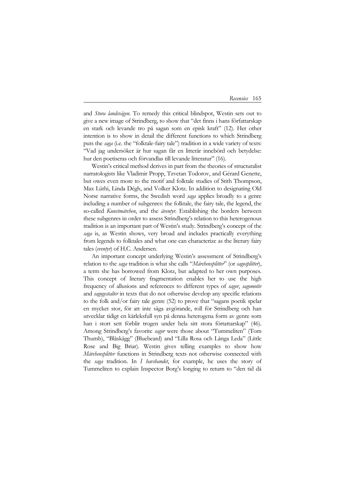## *Recensies* 165

and *Stora landsvägen*. To remedy this critical blindspot, Westin sets out to give a new image of Strindberg, to show that "det finns i hans författarskap en stark och levande tro på sagan som en episk kraft" (12). Her other intention is to show in detail the different functions to which Strindberg puts the *saga* (i.e. the "folktale-fairy tale") tradition in a wide variety of texts: "Vad jag undersöker är hur sagan får en litterär innebörd och betydelse: hur den poetiseras och förvandlas till levande litteratur" (16).

Westin's critical method derives in part from the theories of structuralist narratologists like Vladimir Propp, Tzvetan Todorov, and Gérard Genette, but owes even more to the motif and folktale studies of Stith Thompson, Max Lüthi, Linda Dégh, and Volker Klotz. In addition to designating Old Norse narrative forms, the Swedish word *saga* applies broadly to a genre including a number of subgenres: the folktale, the fairy tale, the legend, the so-called *Kunstmärchen*, and the *äventyr*. Establishing the borders between these subgenres in order to assess Strindberg's relation to this heterogenous tradition is an important part of Westin's study. Strindberg's concept of the *saga* is, as Westin shows, very broad and includes practically everything from legends to folktales and what one can characterize as the literary fairy tales (*eventyr*) of H.C. Andersen.

An important concept underlying Westin's assessment of Strindberg's relation to the *saga* tradition is what she calls "*Märchensplitter*" (or *sagosplitter*), a term she has borrowed from Klotz, but adapted to her own purposes. This concept of literary fragmentation enables her to use the high frequency of allusions and references to different types of *sagor*, *sagomotiv* and *sagogestalter* in texts that do not otherwise develop any specific relations to the folk and/or fairy tale genre (52) to prove that "sagans poetik spelar en mycket stor, för att inte säga avgörande, roll för Strindberg och han utvecklar tidigt en kärleksfull syn på denna heterogena form av genre som han i stort sett förblir trogen under hela sitt stora förtattarskap" (46). Among Strindberg's favorite *sagor* were those about "Tummeliten" (Tom Thumb), "Blåskägg" (Bluebeard) and "Lilla Rosa och Långa Leda" (Little Rose and Big Briar). Westin gives telling examples to show how *Märchensplitter* functions in Strindberg texts not otherwise connected with the *saga* tradition. In *I havsbandet*, for example, he uses the story of Tummeliten to explain Inspector Borg's longing to return to "den tid då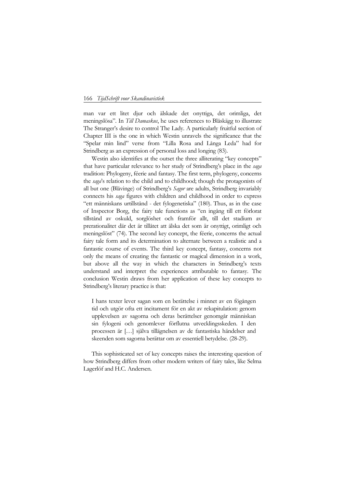## 166 *TijdSchrift voor Skandinavistiek*

man var ett litet djur och älskade det onyttiga, det orimliga, det meningslösa". In *Till Damaskus*, he uses references to Blåskägg to illustrate The Stranger's desire to control The Lady. A particularly fruitful section of Chapter III is the one in which Westin unravels the significance that the "Spelar min lind" verse from "Lilla Rosa and Långa Leda" had for Strindberg as an expression of personal loss and longing (83).

Westin also identifies at the outset the three alliterating "key concepts" that have particular relevance to her study of Strindberg's place in the *saga* tradition: Phylogeny, féerie and fantasy. The first term, phylogeny, concerns the *saga*'s relation to the child and to childhood; though the protagonists of all but one (Blåvinge) of Strindberg's *Sagor* are adults, Strindberg invariably connects his *saga* figures with children and childhood in order to express "ett människans urtillstånd - det fylogenetiska" (180). Thus, as in the case of Inspector Borg, the fairy tale functions as "en ingång till ett förlorat tillstånd av oskuld, sorglöshet och framför allt, till det stadium av prerationalitet där det är tillåtet att älska det som är onyttigt, orimligt och meningslöst" (74). The second key concept, the féerie, concerns the actual fairy tale form and its determination to alternate between a realistic and a fantastic course of events. The third key concept, fantasy, concerns not only the means of creating the fantastic or magical dimension in a work, but above all the way in which the characters in Strindberg's texts understand and interpret the experiences attributable to fantasy. The conclusion Westin draws from her application of these key concepts to Strindberg's literary practice is that:

I hans texter lever sagan som en berättelse i minnet av en fögången tid och utgör ofta ett incitament för en akt av rekapitulation: genom upplevelsen av sagorna och deras berättelser genomgår människan sin fylogeni och genomlever förflutna utvecklingsskeden. I den processen är […] själva tillägnelsen av de fantastiska händelser and skeenden som sagorna berättar om av essentiell betydelse. (28-29).

This sophisticated set of key concepts raises the interesting question of how Strindberg differs from other modern writers of fairy tales, like Selma Lagerlöf and H.C. Andersen.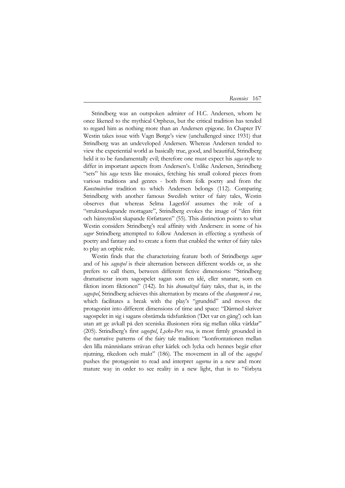*Recensies* 167

Strindberg was an outspoken admirer of H.C. Andersen, whom he once likened to the mythical Orpheus, but the critical tradition has tended to regard him as nothing more than an Andersen epigone. In Chapter IV Westin takes issue with Vagn Børge's view (unchallenged since 1931) that Strindberg was an undeveloped Andersen. Whereas Andersen tended to view the experiential world as basically true, good, and beautiful, Strindberg held it to be fundamentally evil; therefore one must expect his *saga*-style to differ in important aspects from Andersen's. Unlike Andersen, Strindberg "sets" his *saga* texts like mosaics, fetching his small colored pieces from various traditions and genres - both from folk poetry and from the *Kunstmärchen* tradition to which Andersen belongs (112). Comparing Strindberg with another famous Swedish writer of fairy tales, Westin observes that whereas Selma Lagerlöf assumes the role of a "strukturskapande mottagare", Strindberg evokes the image of "den fritt och hänsynslöst skapande författaren" (55). This distinction points to what Westin considers Strindberg's real affinity with Andersen: in some of his *sagor* Strindberg attempted to follow Andersen in effecting a synthesis of poetry and fantasy and to create a form that enabled the writer of fairy tales to play an orphic role.

Westin finds that the characterizing feature both of Strindbergs *sagor* and of his *sagospel* is their alternation between different worlds or, as she prefers to call them, between different fictive dimensions: "Strindberg dramatiserar inom sagospelet sagan som en idé, eller snarare, som en fiktion inom fiktionen" (142). In his *dramatized* fairy tales, that is, in the *sagospel*, Strindberg achieves this alternation by means of the *changement à vue*, which facilitates a break with the play's "grundtid" and moves the protagonist into different dimensions of time and space: "Därmed skriver sagospelet in sig i sagans obstämda tidsfunktion ('Det var en gång') och kan utan att ge avkall på den sceniska illusionen röra sig mellan olika världar" (205). Strindberg's first *sagospel*, *Lycko-Pers resa*, is most firmly grounded in the narrative patterns of the fairy tale tradition: "konfrontationen mellan den lilla människans strävan efter kärlek och lycka och hennes begär efter njutning, rikedom och makt" (186). The movement in all of the *sagospel* pushes the protagonist to read and interpret *sagorna* in a new and more mature way in order to see reality in a new light, that is to "förbyta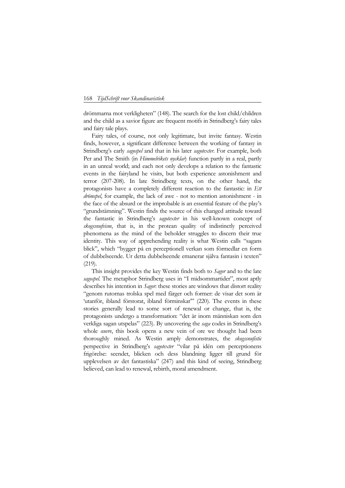## 168 *TijdSchrift voor Skandinavistiek*

drömmarna mot verkligheten" (148). The search for the lost child/children and the child as a savior figure are frequent motifs in Strindberg's fairy tales and fairy tale plays.

Fairy tales, of course, not only legitimate, but invite fantasy. Westin finds, however, a significant difference between the working of fantasy in Strindberg's early *sagospel* and that in his later *sagotexter*. For example, both Per and The Smith (in *Himmelrikets nycklar*) function partly in a real, partly in an unreal world; and each not only develops a relation to the fantastic events in the fairyland he visits, but both experience astonishment and terror (207-208). In late Strindberg texts, on the other hand, the protagonists have a completely different reaction to the fantastic: in *Ett drömspel*, for example, the lack of awe - not to mention astonishment - in the face of the absurd or the improbable is an essential feature of the play's "grundstämning". Westin finds the source of this changed attitude toward the fantastic in Strindberg's *sagotexter* in his well-known concept of *skogssnufvism*, that is, in the protean quality of indistinctly perceived phenomena as the mind of the beholder struggles to discern their true identity. This way of apprehending reality is what Westin calls "sagans blick", which "bygger på en perceptionell verkan som förmedlar en form of dubbelseende. Ur detta dubbelseende emanerar själva fantasin i texten" (219).

This insight provides the key Westin finds both to *Sagor* and to the late *sagospel*. The metaphor Strindberg uses in "I midsommartider", most aptly describes his intention in *Sagor*: these stories are windows that distort reality "genom rutornas trolska spel med färger och former: de visar det som är 'utanför, ibland förstorat, ibland förminskat" (220). The events in these stories generally lead to some sort of renewal or change, that is, the protagonists undergo a transformation: "det är inom människan som den verkliga sagan utspelas" (223). By uncovering the *saga* codes in Strindberg's whole *œuvre*, this book opens a new vein of ore we thought had been thoroughly mined. As Westin amply demonstrates, the *skogssnufistic* perspective in Strindberg's *sagotexter* "vilar på idén om perceptionens frigörelse: seendet, blicken och dess blandning ligger till grund för upplevelsen av det fantastiska" (247) and this kind of seeing, Strindberg believed, can lead to renewal, rebirth, moral amendment.